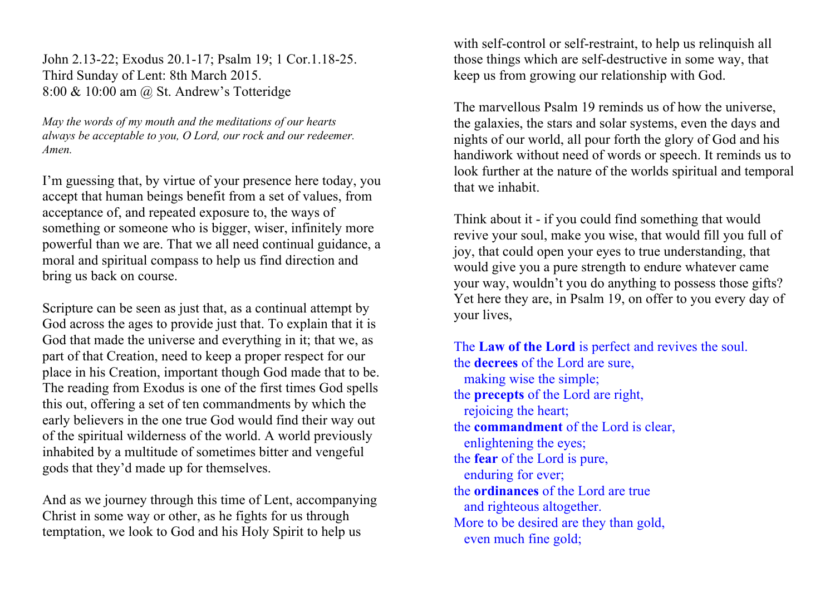John 2.13-22; Exodus 20.1-17; Psalm 19; 1 Cor.1.18-25. Third Sunday of Lent: 8th March 2015. 8:00 & 10:00 am @ St. Andrew's Totteridge

*May the words of my mouth and the meditations of our hearts always be acceptable to you, O Lord, our rock and our redeemer. Amen.*

I'm guessing that, by virtue of your presence here today, you accept that human beings benefit from a set of values, from acceptance of, and repeated exposure to, the ways of something or someone who is bigger, wiser, infinitely more powerful than we are. That we all need continual guidance, a moral and spiritual compass to help us find direction and bring us back on course.

Scripture can be seen as just that, as a continual attempt by God across the ages to provide just that. To explain that it is God that made the universe and everything in it; that we, as part of that Creation, need to keep a proper respect for our place in his Creation, important though God made that to be. The reading from Exodus is one of the first times God spells this out, offering a set of ten commandments by which the early believers in the one true God would find their way out of the spiritual wilderness of the world. A world previously inhabited by a multitude of sometimes bitter and vengeful gods that they'd made up for themselves.

And as we journey through this time of Lent, accompanying Christ in some way or other, as he fights for us through temptation, we look to God and his Holy Spirit to help us

with self-control or self-restraint, to help us relinquish all those things which are self-destructive in some way, that keep us from growing our relationship with God.

The marvellous Psalm 19 reminds us of how the universe, the galaxies, the stars and solar systems, even the days and nights of our world, all pour forth the glory of God and his handiwork without need of words or speech. It reminds us to look further at the nature of the worlds spiritual and temporal that we inhabit.

Think about it - if you could find something that would revive your soul, make you wise, that would fill you full of joy, that could open your eyes to true understanding, that would give you a pure strength to endure whatever came your way, wouldn't you do anything to possess those gifts? Yet here they are, in Psalm 19, on offer to you every day of your lives,

The **Law of the Lord** is perfect and revives the soul. the **decrees** of the Lord are sure, making wise the simple; the **precepts** of the Lord are right, rejoicing the heart; the **commandment** of the Lord is clear, enlightening the eyes; the **fear** of the Lord is pure, enduring for ever; the **ordinances** of the Lord are true and righteous altogether. More to be desired are they than gold, even much fine gold;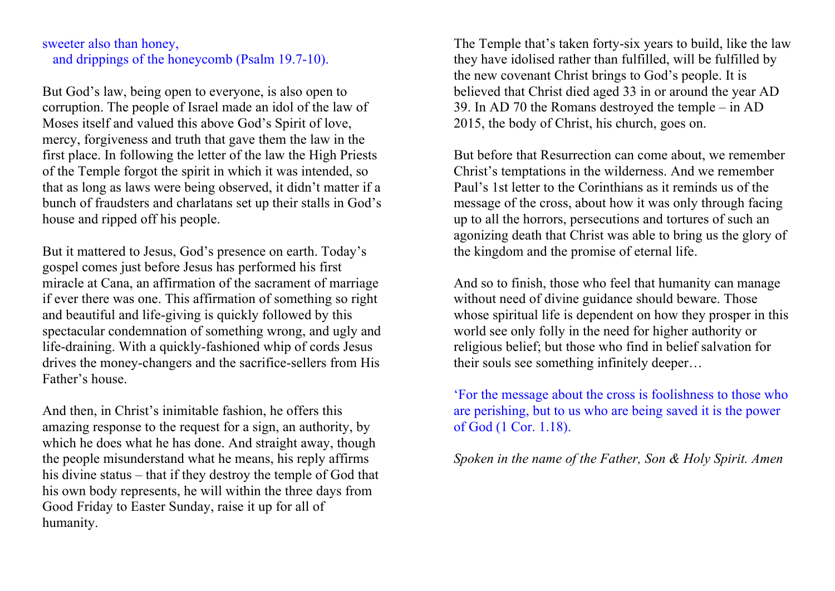#### sweeter also than honey, and drippings of the honeycomb (Psalm 19.7-10).

But God's law, being open to everyone, is also open to corruption. The people of Israel made an idol of the law of Moses itself and valued this above God's Spirit of love, mercy, forgiveness and truth that gave them the law in the first place. In following the letter of the law the High Priests of the Temple forgot the spirit in which it was intended, so that as long as laws were being observed, it didn't matter if a bunch of fraudsters and charlatans set up their stalls in God's house and ripped off his people.

But it mattered to Jesus, God's presence on earth. Today's gospel comes just before Jesus has performed his first miracle at Cana, an affirmation of the sacrament of marriage if ever there was one. This affirmation of something so right and beautiful and life-giving is quickly followed by this spectacular condemnation of something wrong, and ugly and life-draining. With a quickly-fashioned whip of cords Jesus drives the money-changers and the sacrifice-sellers from His Father's house.

And then, in Christ's inimitable fashion, he offers this amazing response to the request for a sign, an authority, by which he does what he has done. And straight away, though the people misunderstand what he means, his reply affirms his divine status – that if they destroy the temple of God that his own body represents, he will within the three days from Good Friday to Easter Sunday, raise it up for all of humanity.

The Temple that's taken forty-six years to build, like the law they have idolised rather than fulfilled, will be fulfilled by the new covenant Christ brings to God's people. It is believed that Christ died aged 33 in or around the year AD 39. In AD 70 the Romans destroyed the temple – in AD 2015, the body of Christ, his church, goes on.

But before that Resurrection can come about, we remember Christ's temptations in the wilderness. And we remember Paul's 1st letter to the Corinthians as it reminds us of the message of the cross, about how it was only through facing up to all the horrors, persecutions and tortures of such an agonizing death that Christ was able to bring us the glory of the kingdom and the promise of eternal life.

And so to finish, those who feel that humanity can manage without need of divine guidance should beware. Those whose spiritual life is dependent on how they prosper in this world see only folly in the need for higher authority or religious belief; but those who find in belief salvation for their souls see something infinitely deeper…

'For the message about the cross is foolishness to those who are perishing, but to us who are being saved it is the power of God (1 Cor. 1.18).

*Spoken in the name of the Father, Son & Holy Spirit. Amen*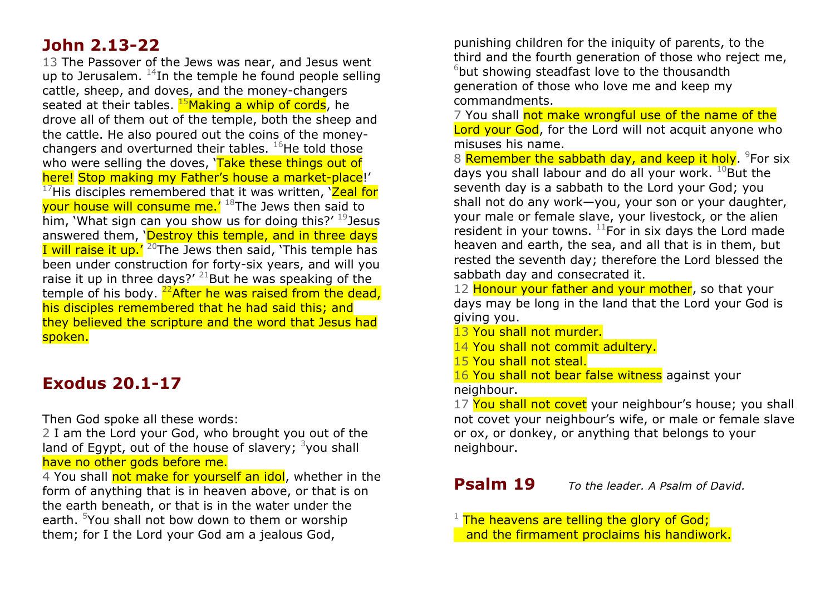### **John 2.13-22**

13 The Passover of the Jews was near, and Jesus went up to Jerusalem.  $^{14}$ In the temple he found people selling cattle, sheep, and doves, and the money-changers seated at their tables.  $^{15}$ Making a whip of cords, he drove all of them out of the temple, both the sheep and the cattle. He also poured out the coins of the moneychangers and overturned their tables.  $^{16}$ He told those who were selling the doves, 'Take these things out of here! Stop making my Father's house a market-place!'  $17$ His disciples remembered that it was written,  $\text{Ze}$ al for your house will consume me.<sup> $18$ </sup>The Jews then said to him, 'What sign can you show us for doing this?'  $19$  Jesus answered them, 'Destroy this temple, and in three days I will raise it up.'  $20$ The Jews then said, 'This temple has been under construction for forty-six years, and will you raise it up in three days?'  $^{21}$ But he was speaking of the temple of his body.  $^{22}$ After he was raised from the dead, his disciples remembered that he had said this; and they believed the scripture and the word that Jesus had spoken.

## **Exodus 20.1-17**

Then God spoke all these words:

2 I am the Lord your God, who brought you out of the land of Egypt, out of the house of slavery;  $3$ you shall have no other gods before me.

4 You shall not make for yourself an idol, whether in the form of anything that is in heaven above, or that is on the earth beneath, or that is in the water under the earth. <sup>5</sup>You shall not bow down to them or worship them; for I the Lord your God am a jealous God,

punishing children for the iniquity of parents, to the third and the fourth generation of those who reject me,  $6$ but showing steadfast love to the thousandth generation of those who love me and keep my commandments.

7 You shall not make wrongful use of the name of the Lord your God, for the Lord will not acquit anyone who misuses his name.

8 Remember the sabbath day, and keep it holy. <sup>9</sup>For six days you shall labour and do all your work.  $^{10}$ But the seventh day is a sabbath to the Lord your God; you shall not do any work—you, your son or your daughter, your male or female slave, your livestock, or the alien resident in your towns.  $^{11}$ For in six days the Lord made heaven and earth, the sea, and all that is in them, but rested the seventh day; therefore the Lord blessed the sabbath day and consecrated it.

12 Honour your father and your mother, so that your days may be long in the land that the Lord your God is giving you.

- 13 You shall not murder.
- 14 You shall not commit adultery.
- 15 You shall not steal.
- 16 You shall not bear false witness against your neighbour.

17 You shall not covet your neighbour's house; you shall not covet your neighbour's wife, or male or female slave, or ox, or donkey, or anything that belongs to your neighbour.

#### **Psalm 19** *To the leader. A Psalm of David.*

 $1$  The heavens are telling the glory of God; and the firmament proclaims his handiwork.